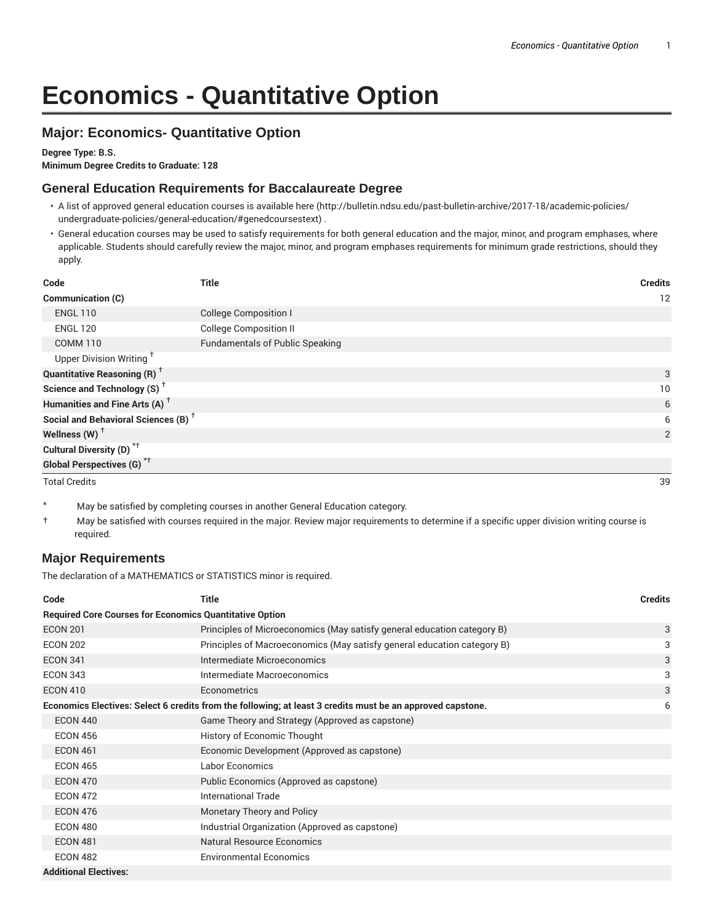# **Economics - Quantitative Option**

## **Major: Economics- Quantitative Option**

#### **Degree Type: B.S.**

**Minimum Degree Credits to Graduate: 128**

#### **General Education Requirements for Baccalaureate Degree**

- A list of approved general education courses is available here (http://bulletin.ndsu.edu/past-bulletin-archive/2017-18/academic-policies/ undergraduate-policies/general-education/#genedcoursestext) .
- General education courses may be used to satisfy requirements for both general education and the major, minor, and program emphases, where applicable. Students should carefully review the major, minor, and program emphases requirements for minimum grade restrictions, should they apply.

| Code                                                 | <b>Title</b>                           | <b>Credits</b> |
|------------------------------------------------------|----------------------------------------|----------------|
| Communication (C)                                    |                                        | 12             |
| <b>ENGL 110</b>                                      | <b>College Composition I</b>           |                |
| <b>ENGL 120</b>                                      | <b>College Composition II</b>          |                |
| <b>COMM 110</b>                                      | <b>Fundamentals of Public Speaking</b> |                |
| Upper Division Writing <sup>+</sup>                  |                                        |                |
| <b>Quantitative Reasoning (R)</b> <sup>†</sup>       |                                        | 3              |
| Science and Technology (S) <sup><math>†</math></sup> |                                        | 10             |
| Humanities and Fine Arts (A) <sup>+</sup>            |                                        | 6              |
| Social and Behavioral Sciences (B) <sup>+</sup>      |                                        | 6              |
| Wellness (W) $^{\dagger}$                            |                                        | 2              |
| Cultural Diversity (D) <sup>*†</sup>                 |                                        |                |
| <b>Global Perspectives (G)</b> <sup>*†</sup>         |                                        |                |
| <b>Total Credits</b>                                 |                                        | 39             |

- \* May be satisfied by completing courses in another General Education category.
- † May be satisfied with courses required in the major. Review major requirements to determine if a specific upper division writing course is required.

#### **Major Requirements**

The declaration of a MATHEMATICS or STATISTICS minor is required.

| Code                                                           | Title                                                                                                      | <b>Credits</b> |  |
|----------------------------------------------------------------|------------------------------------------------------------------------------------------------------------|----------------|--|
| <b>Required Core Courses for Economics Quantitative Option</b> |                                                                                                            |                |  |
| <b>ECON 201</b>                                                | Principles of Microeconomics (May satisfy general education category B)                                    | 3              |  |
| <b>ECON 202</b>                                                | Principles of Macroeconomics (May satisfy general education category B)                                    | 3              |  |
| <b>ECON 341</b>                                                | Intermediate Microeconomics                                                                                | 3              |  |
| <b>ECON 343</b>                                                | Intermediate Macroeconomics                                                                                | 3              |  |
| <b>ECON 410</b>                                                | Econometrics                                                                                               | 3              |  |
|                                                                | Economics Electives: Select 6 credits from the following; at least 3 credits must be an approved capstone. | 6              |  |
| <b>ECON 440</b>                                                | Game Theory and Strategy (Approved as capstone)                                                            |                |  |
| <b>ECON 456</b>                                                | History of Economic Thought                                                                                |                |  |
| <b>ECON 461</b>                                                | Economic Development (Approved as capstone)                                                                |                |  |
| <b>ECON 465</b>                                                | Labor Economics                                                                                            |                |  |
| <b>ECON 470</b>                                                | Public Economics (Approved as capstone)                                                                    |                |  |
| <b>ECON 472</b>                                                | International Trade                                                                                        |                |  |
| <b>ECON 476</b>                                                | Monetary Theory and Policy                                                                                 |                |  |
| <b>ECON 480</b>                                                | Industrial Organization (Approved as capstone)                                                             |                |  |
| <b>ECON 481</b>                                                | <b>Natural Resource Economics</b>                                                                          |                |  |
| <b>ECON 482</b>                                                | <b>Environmental Economics</b>                                                                             |                |  |
| <b>Additional Electives:</b>                                   |                                                                                                            |                |  |